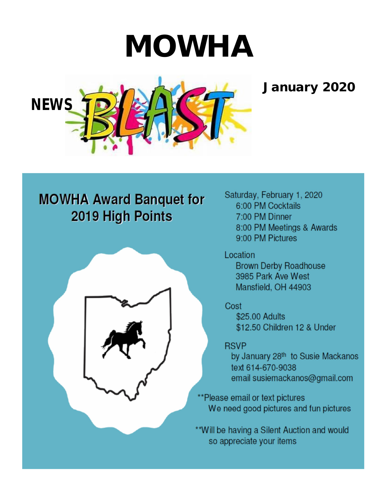# **MOWHA**

# **January 2020**



# **MOWHA Award Banquet for** 2019 High Points



Saturday, February 1, 2020 6:00 PM Cocktails 7:00 PM Dinner 8:00 PM Meetings & Awards 9:00 PM Pictures

Location **Brown Derby Roadhouse** 3985 Park Ave West Mansfield, OH 44903

Cost \$25.00 Adults \$12.50 Children 12 & Under

**RSVP** by January 28th to Susie Mackanos text 614-670-9038 email susiemackanos@gmail.com

\*\*Please email or text pictures We need good pictures and fun pictures

\*\*Will be having a Silent Auction and would so appreciate your items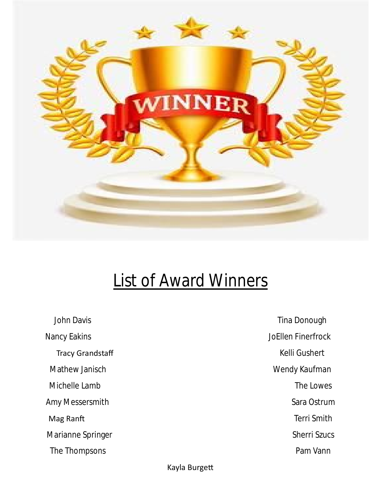

# **List of Award Winners**

John Davis **Nancy Eakins Tracy Grandstaff** Mathew Janisch Michelle Lamb Amy Messersmith Mag Ranft Marianne Springer The Thompsons

Tina Donough **JoEllen Finerfrock Kelli Gushert** Wendy Kaufman The Lowes Sara Ostrum **Terri Smith Sherri Szucs** Pam Vann

#### Kayla Burgett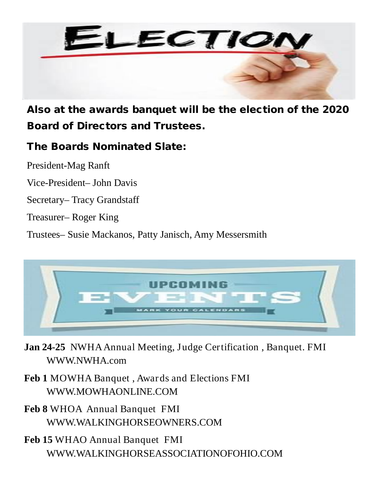

**Also at the awards banquet will be the election of the 2020 Board of Directors and Trustees.**

### **The Boards Nominated Slate:**

President-Mag Ranft

Vice-President– John Davis

Secretary– Tracy Grandstaff

Treasurer– Roger King

Trustees– Susie Mackanos, Patty Janisch, Amy Messersmith



**Jan 24-25** NWHA Annual Meeting, Judge Certification , Banquet. FMI WWW.NWHA.com

**Feb 1** MOWHA Banquet , Awards and Elections FMI WWW.MOWHAONLINE.COM

**Feb 8** WHOA Annual Banquet FMI WWW.WALKINGHORSEOWNERS.COM

**Feb 15** WHAO Annual Banquet FMI WWW.WALKINGHORSEASSOCIATIONOFOHIO.COM